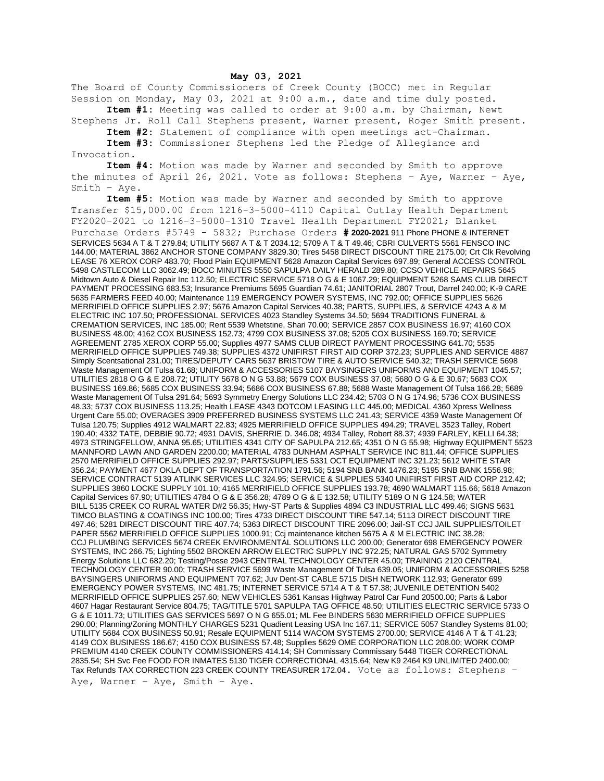## **May 03, 2021**

The Board of County Commissioners of Creek County (BOCC) met in Regular Session on Monday, May 03, 2021 at 9:00 a.m., date and time duly posted.

**Item #1:** Meeting was called to order at 9:00 a.m. by Chairman, Newt Stephens Jr. Roll Call Stephens present, Warner present, Roger Smith present.

**Item #2:** Statement of compliance with open meetings act-Chairman.

**Item #3:** Commissioner Stephens led the Pledge of Allegiance and Invocation.

**Item #4:** Motion was made by Warner and seconded by Smith to approve the minutes of April 26, 2021. Vote as follows: Stephens – Aye, Warner – Aye, Smith – Aye.

**Item #5:** Motion was made by Warner and seconded by Smith to approve Transfer \$15,000.00 from 1216-3-5000-4110 Capital Outlay Health Department FY2020-2021 to 1216-3-5000-1310 Travel Health Department FY2021; Blanket Purchase Orders #5749 - 5832; Purchase Orders **# 2020-2021** 911 Phone PHONE & INTERNET SERVICES 5634 A T & T 279.84; UTILITY 5687 A T & T 2034.12; 5709 A T & T 49.46; CBRI CULVERTS 5561 FENSCO INC 144.00; MATERIAL 3862 ANCHOR STONE COMPANY 3829.30; Tires 5458 DIRECT DISCOUNT TIRE 2175.00; Crt Clk Revolving LEASE 76 XEROX CORP 483.70; Flood Plain EQUIPMENT 5628 Amazon Capital Services 697.89; General ACCESS CONTROL 5498 CASTLECOM LLC 3062.49; BOCC MINUTES 5550 SAPULPA DAILY HERALD 289.80; CCSO VEHICLE REPAIRS 5645 Midtown Auto & Diesel Repair Inc 112.50; ELECTRIC SERVICE 5718 O G & E 1067.29; EQUIPMENT 5268 SAMS CLUB DIRECT PAYMENT PROCESSING 683.53; Insurance Premiums 5695 Guardian 74.61; JANITORIAL 2807 Trout, Darrel 240.00; K-9 CARE 5635 FARMERS FEED 40.00; Maintenance 119 EMERGENCY POWER SYSTEMS, INC 792.00; OFFICE SUPPLIES 5626 MERRIFIELD OFFICE SUPPLIES 2.97; 5676 Amazon Capital Services 40.38; PARTS, SUPPLIES, & SERVICE 4243 A & M ELECTRIC INC 107.50; PROFESSIONAL SERVICES 4023 Standley Systems 34.50; 5694 TRADITIONS FUNERAL & CREMATION SERVICES, INC 185.00; Rent 5539 Whetstine, Shari 70.00; SERVICE 2857 COX BUSINESS 16.97; 4160 COX BUSINESS 48.00; 4162 COX BUSINESS 152.73; 4799 COX BUSINESS 37.08; 5205 COX BUSINESS 169.70; SERVICE AGREEMENT 2785 XEROX CORP 55.00; Supplies 4977 SAMS CLUB DIRECT PAYMENT PROCESSING 641.70; 5535 MERRIFIELD OFFICE SUPPLIES 749.38; SUPPLIES 4372 UNIFIRST FIRST AID CORP 372.23; SUPPLIES AND SERVICE 4887 Simply Scentsational 231.00; TIRES/DEPUTY CARS 5637 BRISTOW TIRE & AUTO SERVICE 540.32; TRASH SERVICE 5698 Waste Management Of Tulsa 61.68; UNIFORM & ACCESSORIES 5107 BAYSINGERS UNIFORMS AND EQUIPMENT 1045.57; UTILITIES 2818 O G & E 208.72; UTILITY 5678 O N G 53.88; 5679 COX BUSINESS 37.08; 5680 O G & E 30.67; 5683 COX BUSINESS 169.86; 5685 COX BUSINESS 33.94; 5686 COX BUSINESS 67.88; 5688 Waste Management Of Tulsa 166.28; 5689 Waste Management Of Tulsa 291.64; 5693 Symmetry Energy Solutions LLC 234.42; 5703 O N G 174.96; 5736 COX BUSINESS 48.33; 5737 COX BUSINESS 113.25; Health LEASE 4343 DOTCOM LEASING LLC 445.00; MEDICAL 4360 Xpress Wellness Urgent Care 55.00; OVERAGES 3909 PREFERRED BUSINESS SYSTEMS LLC 241.43; SERVICE 4359 Waste Management Of Tulsa 120.75; Supplies 4912 WALMART 22.83; 4925 MERRIFIELD OFFICE SUPPLIES 494.29; TRAVEL 3523 Talley, Robert 190.40; 4332 TATE, DEBBIE 90.72; 4931 DAVIS, SHERRIE D. 346.08; 4934 Talley, Robert 88.37; 4939 FARLEY, KELLI 64.38; 4973 STRINGFELLOW, ANNA 95.65; UTILITIES 4341 CITY OF SAPULPA 212.65; 4351 O N G 55.98; Highway EQUIPMENT 5523 MANNFORD LAWN AND GARDEN 2200.00; MATERIAL 4783 DUNHAM ASPHALT SERVICE INC 811.44; OFFICE SUPPLIES 2570 MERRIFIELD OFFICE SUPPLIES 292.97; PARTS/SUPPLIES 5331 OCT EQUIPMENT INC 321.23; 5612 WHITE STAR 356.24; PAYMENT 4677 OKLA DEPT OF TRANSPORTATION 1791.56; 5194 SNB BANK 1476.23; 5195 SNB BANK 1556.98; SERVICE CONTRACT 5139 ATLINK SERVICES LLC 324.95; SERVICE & SUPPLIES 5340 UNIFIRST FIRST AID CORP 212.42; SUPPLIES 3860 LOCKE SUPPLY 101.10; 4165 MERRIFIELD OFFICE SUPPLIES 193.78; 4690 WALMART 115.66; 5618 Amazon Capital Services 67.90; UTILITIES 4784 O G & E 356.28; 4789 O G & E 132.58; UTILITY 5189 O N G 124.58; WATER BILL 5135 CREEK CO RURAL WATER D#2 56.35; Hwy-ST Parts & Supplies 4894 C3 INDUSTRIAL LLC 499.46; SIGNS 5631 TIMCO BLASTING & COATINGS INC 100.00; Tires 4733 DIRECT DISCOUNT TIRE 547.14; 5113 DIRECT DISCOUNT TIRE 497.46; 5281 DIRECT DISCOUNT TIRE 407.74; 5363 DIRECT DISCOUNT TIRE 2096.00; Jail-ST CCJ JAIL SUPPLIES/TOILET PAPER 5562 MERRIFIELD OFFICE SUPPLIES 1000.91; Ccj maintenance kitchen 5675 A & M ELECTRIC INC 38.28; CCJ PLUMBING SERVICES 5674 CREEK ENVIRONMENTAL SOLUTIONS LLC 200.00; Generator 698 EMERGENCY POWER SYSTEMS, INC 266.75; Lighting 5502 BROKEN ARROW ELECTRIC SUPPLY INC 972.25; NATURAL GAS 5702 Symmetry Energy Solutions LLC 682.20; Testing/Posse 2943 CENTRAL TECHNOLOGY CENTER 45.00; TRAINING 2120 CENTRAL TECHNOLOGY CENTER 90.00; TRASH SERVICE 5699 Waste Management Of Tulsa 639.05; UNIFORM & ACCESSORIES 5258 BAYSINGERS UNIFORMS AND EQUIPMENT 707.62; Juv Dent-ST CABLE 5715 DISH NETWORK 112.93; Generator 699 EMERGENCY POWER SYSTEMS, INC 481.75; INTERNET SERVICE 5714 A T & T 57.38; JUVENILE DETENTION 5402 MERRIFIELD OFFICE SUPPLIES 257.60; NEW VEHICLES 5361 Kansas Highway Patrol Car Fund 20500.00; Parts & Labor 4607 Hagar Restaurant Service 804.75; TAG/TITLE 5701 SAPULPA TAG OFFICE 48.50; UTILITIES ELECTRIC SERVICE 5733 O G & E 1011.73; UTILITIES GAS SERVICES 5697 O N G 655.01; ML Fee BINDERS 5630 MERRIFIELD OFFICE SUPPLIES 290.00; Planning/Zoning MONTHLY CHARGES 5231 Quadient Leasing USA Inc 167.11; SERVICE 5057 Standley Systems 81.00; UTILITY 5684 COX BUSINESS 50.91; Resale EQUIPMENT 5114 WACOM SYSTEMS 2700.00; SERVICE 4146 A T & T 41.23; 4149 COX BUSINESS 186.67; 4150 COX BUSINESS 57.48; Supplies 5629 OME CORPORATION LLC 208.00; WORK COMP PREMIUM 4140 CREEK COUNTY COMMISSIONERS 414.14; SH Commissary Commissary 5448 TIGER CORRECTIONAL 2835.54; SH Svc Fee FOOD FOR INMATES 5130 TIGER CORRECTIONAL 4315.64; New K9 2464 K9 UNLIMITED 2400.00; Tax Refunds TAX CORRECTION 223 CREEK COUNTY TREASURER 172.04. Vote as follows: Stephens -

Aye, Warner – Aye, Smith – Aye.